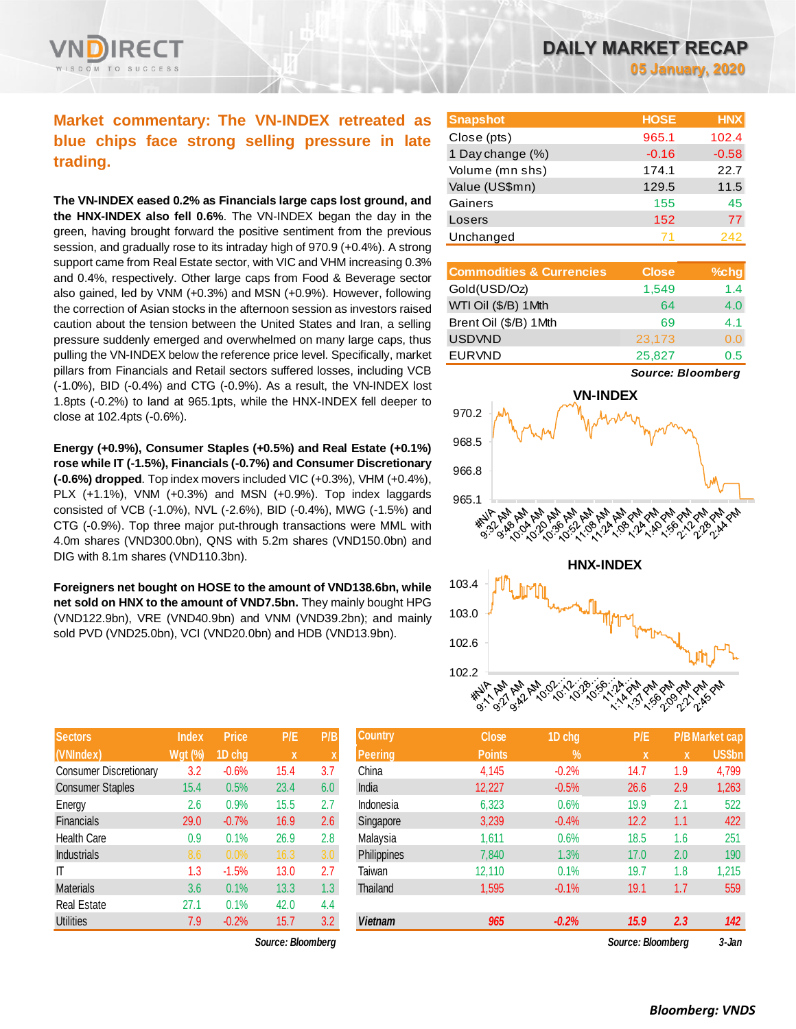# **Market commentary: The VN-INDEX retreated as blue chips face strong selling pressure in late**

**trading.**

**The VN-INDEX eased 0.2% as Financials large caps lost ground, and the HNX-INDEX also fell 0.6%**. The VN-INDEX began the day in the green, having brought forward the positive sentiment from the previous session, and gradually rose to its intraday high of 970.9 (+0.4%). A strong support came from Real Estate sector, with VIC and VHM increasing 0.3% and 0.4%, respectively. Other large caps from Food & Beverage sector also gained, led by VNM (+0.3%) and MSN (+0.9%). However, following the correction of Asian stocks in the afternoon session as investors raised caution about the tension between the United States and Iran, a selling pressure suddenly emerged and overwhelmed on many large caps, thus pulling the VN-INDEX below the reference price level. Specifically, market pillars from Financials and Retail sectors suffered losses, including VCB (-1.0%), BID (-0.4%) and CTG (-0.9%). As a result, the VN-INDEX lost 1.8pts (-0.2%) to land at 965.1pts, while the HNX-INDEX fell deeper to close at 102.4pts (-0.6%).

**Energy (+0.9%), Consumer Staples (+0.5%) and Real Estate (+0.1%) rose while IT (-1.5%), Financials (-0.7%) and Consumer Discretionary (-0.6%) dropped**. Top index movers included VIC (+0.3%), VHM (+0.4%), PLX (+1.1%), VNM (+0.3%) and MSN (+0.9%). Top index laggards consisted of VCB (-1.0%), NVL (-2.6%), BID (-0.4%), MWG (-1.5%) and CTG (-0.9%). Top three major put-through transactions were MML with 4.0m shares (VND300.0bn), QNS with 5.2m shares (VND150.0bn) and DIG with 8.1m shares (VND110.3bn).

**Foreigners net bought on HOSE to the amount of VND138.6bn, while net sold on HNX to the amount of VND7.5bn.** They mainly bought HPG (VND122.9bn), VRE (VND40.9bn) and VNM (VND39.2bn); and mainly sold PVD (VND25.0bn), VCI (VND20.0bn) and HDB (VND13.9bn).

| <b>Sectors</b>                | <b>Index</b>   | <b>Price</b> | P/E  | P/B |
|-------------------------------|----------------|--------------|------|-----|
| (VNIndex)                     | <b>Wgt (%)</b> | 1D chg       | x    | X   |
| <b>Consumer Discretionary</b> | 3.2            | $-0.6%$      | 15.4 | 3.7 |
| <b>Consumer Staples</b>       | 15.4           | 0.5%         | 23.4 | 6.0 |
| Energy                        | 2.6            | 0.9%         | 15.5 | 2.7 |
| Financials                    | 29.0           | $-0.7%$      | 16.9 | 2.6 |
| <b>Health Care</b>            | 0.9            | 0.1%         | 26.9 | 2.8 |
| Industrials                   | 8.6            | 0.0%         | 16.3 | 3.0 |
| ΙT                            | 1.3            | $-1.5%$      | 13.0 | 2.7 |
| <b>Materials</b>              | 3.6            | 0.1%         | 13.3 | 1.3 |
| <b>Real Estate</b>            | 27.1           | 0.1%         | 42.0 | 4.4 |
| <b>Utilities</b>              | 7.9            | $-0.2%$      | 15.7 | 3.2 |

*Source: Bloomberg Source: Bloomberg 3-Jan*

| <b>Snapshot</b>  | <b>HOSE</b> | <b>HNX</b> |
|------------------|-------------|------------|
| Close (pts)      | 965.1       | 102.4      |
| 1 Day change (%) | $-0.16$     | $-0.58$    |
| Volume (mn shs)  | 174.1       | 22.7       |
| Value (US\$mn)   | 129.5       | 11.5       |
| Gainers          | 155         | 45         |
| Losers           | 152         | 77         |
| Unchanged        |             | 242        |

| <b>Commodities &amp; Currencies</b> | <b>Close</b> | %chg |
|-------------------------------------|--------------|------|
| Gold(USD/Oz)                        | 1,549        | 1.4  |
| WTI Oil (\$/B) 1Mth                 | 64           | 4.0  |
| Brent Oil (\$/B) 1Mth               | 69           | 41   |
| <b>USDVND</b>                       | 23,173       | 0.0  |
| <b>EURVND</b>                       | 25,827       | 0.5  |

*Source: Bloomberg*



| Sectors                       | Index          | <b>Price</b> | P/E               | P/B              | 'Country           | <b>Close</b>  | 1D chg        | P/E               |     | <u> P/B Market cap</u> |
|-------------------------------|----------------|--------------|-------------------|------------------|--------------------|---------------|---------------|-------------------|-----|------------------------|
| (VNIndex)                     | <b>Wgt (%)</b> | 1D chg       | $\mathbf{x}$      |                  | <b>Peering</b>     | <b>Points</b> | $\frac{9}{6}$ | <b>X</b>          | X   | <b>US\$bn</b>          |
| <b>Consumer Discretionary</b> | 3.2            | $-0.6%$      | 15.4              | 3.7              | China              | 4,145         | $-0.2%$       | 14.7              | 1.9 | 4,799                  |
| <b>Consumer Staples</b>       | 15.4           | 0.5%         | 23.4              | 6.0              | India              | 12,227        | $-0.5%$       | 26.6              | 2.9 | 1,263                  |
| Energy                        | 2.6            | 0.9%         | 15.5              | 2.7              | Indonesia          | 6,323         | 0.6%          | 19.9              | 2.1 | 522                    |
| Financials                    | 29.0           | $-0.7%$      | 16.9              | 2.6              | Singapore          | 3,239         | $-0.4%$       | 12.2              | 1.1 | 422                    |
| Health Care                   | 0.9            | 0.1%         | 26.9              | 2.8              | Malaysia           | 1,611         | 0.6%          | 18.5              | 1.6 | 251                    |
| <b>Industrials</b>            | 8.6            | 0.0%         | 16.3              | 3.0 <sub>2</sub> | <b>Philippines</b> | 7,840         | 1.3%          | 17.0              | 2.0 | 190                    |
| Τ                             | 1.3            | $-1.5%$      | 13.0              | 2.7              | Taiwan             | 12,110        | 0.1%          | 19.7              | 1.8 | 1,215                  |
| Materials                     | 3.6            | 0.1%         | 13.3              | 1.3              | Thailand           | 1,595         | $-0.1%$       | 19.1              | 1.7 | 559                    |
| Real Estate                   | 27.1           | 0.1%         | 42.0              | 4.4              |                    |               |               |                   |     |                        |
| <b>Utilities</b>              | 7.9            | $-0.2%$      | 15.7              | 3.2              | <b>Vietnam</b>     | 965           | $-0.2%$       | 15.9              | 2.3 | 142                    |
|                               |                |              | Source: Bloomberg |                  |                    |               |               | Source: Bloomberg |     | 3-Jan                  |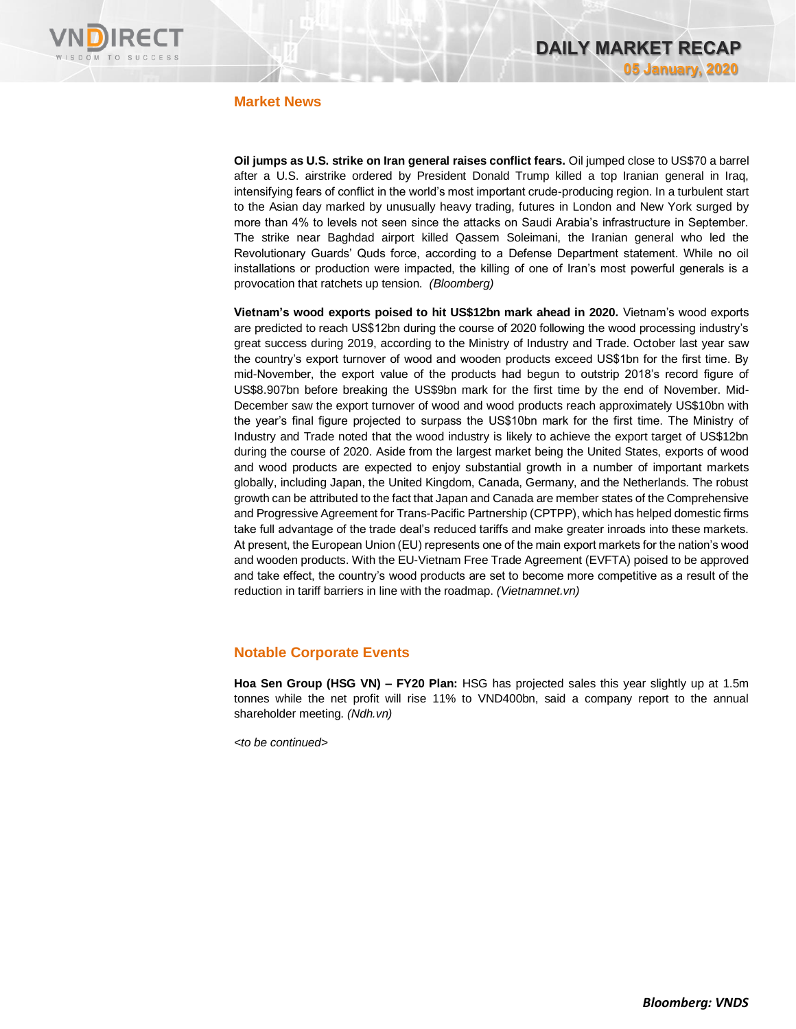

### **Market News**

**Oil jumps as U.S. strike on Iran general raises conflict fears.** Oil jumped close to US\$70 a barrel after a U.S. airstrike ordered by President Donald Trump killed a top Iranian general in Iraq, intensifying fears of conflict in the world's most important crude-producing region. In a turbulent start to the Asian day marked by unusually heavy trading, futures in London and New York surged by more than 4% to levels not seen since the attacks on Saudi Arabia's infrastructure in September. The strike near Baghdad airport killed Qassem Soleimani, the Iranian general who led the Revolutionary Guards' Quds force, according to a Defense Department statement. While no oil installations or production were impacted, the killing of one of Iran's most powerful generals is a provocation that ratchets up tension. *(Bloomberg)*

**Vietnam's wood exports poised to hit US\$12bn mark ahead in 2020.** Vietnam's wood exports are predicted to reach US\$12bn during the course of 2020 following the wood processing industry's great success during 2019, according to the Ministry of Industry and Trade. October last year saw the country's export turnover of wood and wooden products exceed US\$1bn for the first time. By mid-November, the export value of the products had begun to outstrip 2018's record figure of US\$8.907bn before breaking the US\$9bn mark for the first time by the end of November. Mid-December saw the export turnover of wood and wood products reach approximately US\$10bn with the year's final figure projected to surpass the US\$10bn mark for the first time. The Ministry of Industry and Trade noted that the wood industry is likely to achieve the export target of US\$12bn during the course of 2020. Aside from the largest market being the United States, exports of wood and wood products are expected to enjoy substantial growth in a number of important markets globally, including Japan, the United Kingdom, Canada, Germany, and the Netherlands. The robust growth can be attributed to the fact that Japan and Canada are member states of the Comprehensive and Progressive Agreement for Trans-Pacific Partnership (CPTPP), which has helped domestic firms take full advantage of the trade deal's reduced tariffs and make greater inroads into these markets. At present, the European Union (EU) represents one of the main export markets for the nation's wood and wooden products. With the EU-Vietnam Free Trade Agreement (EVFTA) poised to be approved and take effect, the country's wood products are set to become more competitive as a result of the reduction in tariff barriers in line with the roadmap. *(Vietnamnet.vn)*

## **Notable Corporate Events**

**Hoa Sen Group (HSG VN) – FY20 Plan:** HSG has projected sales this year slightly up at 1.5m tonnes while the net profit will rise 11% to VND400bn, said a company report to the annual shareholder meeting. *(Ndh.vn)*

*<to be continued>*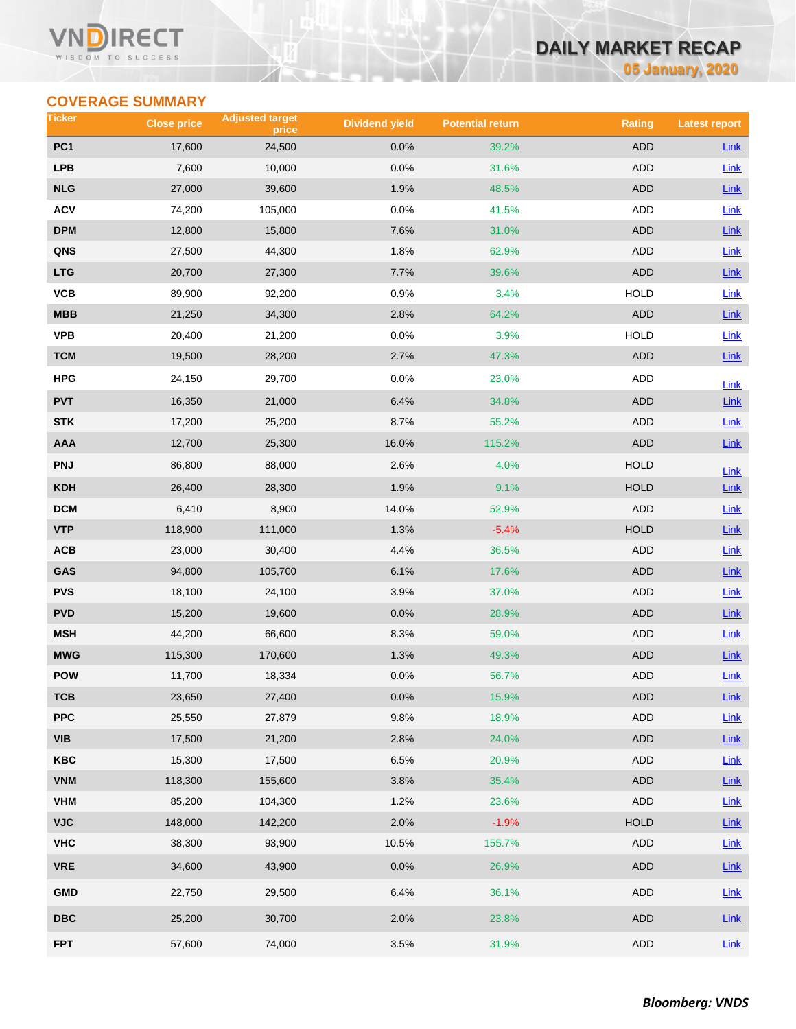#### VI ECT WISDOM TO SUCCESS

## **DAILY MARKET RECAP**

**05 January, 2020**

## **COVERAGE SUMMARY**

| Ticker          | <b>Close price</b> | <b>Adjusted target</b><br>price | <b>Dividend yield</b> | <b>Potential return</b> | <b>Rating</b> | <b>Latest report</b> |
|-----------------|--------------------|---------------------------------|-----------------------|-------------------------|---------------|----------------------|
| PC <sub>1</sub> | 17,600             | 24,500                          | 0.0%                  | 39.2%                   | <b>ADD</b>    | Link                 |
| <b>LPB</b>      | 7,600              | 10,000                          | 0.0%                  | 31.6%                   | ADD           | Link                 |
| <b>NLG</b>      | 27,000             | 39,600                          | 1.9%                  | 48.5%                   | <b>ADD</b>    | <b>Link</b>          |
| <b>ACV</b>      | 74,200             | 105,000                         | 0.0%                  | 41.5%                   | ADD           | Link                 |
| <b>DPM</b>      | 12,800             | 15,800                          | 7.6%                  | 31.0%                   | ADD           | Link                 |
| QNS             | 27,500             | 44,300                          | 1.8%                  | 62.9%                   | ADD           | Link                 |
| <b>LTG</b>      | 20,700             | 27,300                          | 7.7%                  | 39.6%                   | ADD           | Link                 |
| VCB             | 89,900             | 92,200                          | 0.9%                  | 3.4%                    | <b>HOLD</b>   | Link                 |
| MBB             | 21,250             | 34,300                          | 2.8%                  | 64.2%                   | <b>ADD</b>    | Link                 |
| <b>VPB</b>      | 20,400             | 21,200                          | 0.0%                  | 3.9%                    | <b>HOLD</b>   | Link                 |
| <b>TCM</b>      | 19,500             | 28,200                          | 2.7%                  | 47.3%                   | ADD           | Link                 |
| HPG             | 24,150             | 29,700                          | 0.0%                  | 23.0%                   | ADD           | Link                 |
| <b>PVT</b>      | 16,350             | 21,000                          | 6.4%                  | 34.8%                   | <b>ADD</b>    | Link                 |
| <b>STK</b>      | 17,200             | 25,200                          | 8.7%                  | 55.2%                   | ADD           | Link                 |
| <b>AAA</b>      | 12,700             | 25,300                          | 16.0%                 | 115.2%                  | <b>ADD</b>    | $Link$               |
| <b>PNJ</b>      | 86,800             | 88,000                          | 2.6%                  | 4.0%                    | <b>HOLD</b>   | Link                 |
| <b>KDH</b>      | 26,400             | 28,300                          | 1.9%                  | 9.1%                    | <b>HOLD</b>   | Link                 |
| <b>DCM</b>      | 6,410              | 8,900                           | 14.0%                 | 52.9%                   | ADD           | <b>Link</b>          |
| <b>VTP</b>      | 118,900            | 111,000                         | 1.3%                  | $-5.4%$                 | <b>HOLD</b>   | Link                 |
| ACB             | 23,000             | 30,400                          | 4.4%                  | 36.5%                   | ADD           | Link                 |
| GAS             | 94,800             | 105,700                         | 6.1%                  | 17.6%                   | ADD           | <b>Link</b>          |
| <b>PVS</b>      | 18,100             | 24,100                          | 3.9%                  | 37.0%                   | ADD           | Link                 |
| <b>PVD</b>      | 15,200             | 19,600                          | 0.0%                  | 28.9%                   | ADD           | <b>Link</b>          |
| <b>MSH</b>      | 44,200             | 66,600                          | 8.3%                  | 59.0%                   | ADD           | <b>Link</b>          |
| <b>MWG</b>      | 115,300            | 170,600                         | 1.3%                  | 49.3%                   | <b>ADD</b>    | Link                 |
| POW             | 11,700             | 18,334                          | 0.0%                  | 56.7%                   | ADD           | <b>Link</b>          |
| тсв             | 23,650             | 27,400                          | 0.0%                  | 15.9%                   | ADD           | Link                 |
| <b>PPC</b>      | 25,550             | 27,879                          | 9.8%                  | 18.9%                   | ADD           | Link                 |
| <b>VIB</b>      | 17,500             | 21,200                          | 2.8%                  | 24.0%                   | ADD           | $Link$               |
| KBC             | 15,300             | 17,500                          | 6.5%                  | 20.9%                   | ADD           | Link                 |
| <b>VNM</b>      | 118,300            | 155,600                         | 3.8%                  | 35.4%                   | <b>ADD</b>    | $Link$               |
| <b>VHM</b>      | 85,200             | 104,300                         | 1.2%                  | 23.6%                   | ADD           | Link                 |
| <b>VJC</b>      | 148,000            | 142,200                         | 2.0%                  | $-1.9%$                 | HOLD          | Link                 |
| <b>VHC</b>      | 38,300             | 93,900                          | 10.5%                 | 155.7%                  | ADD           | Link                 |
| <b>VRE</b>      | 34,600             | 43,900                          | 0.0%                  | 26.9%                   | <b>ADD</b>    | Link                 |
| <b>GMD</b>      | 22,750             | 29,500                          | 6.4%                  | 36.1%                   | ADD           | Link                 |
| <b>DBC</b>      | 25,200             | 30,700                          | 2.0%                  | 23.8%                   | ADD           | <b>Link</b>          |
| <b>FPT</b>      | 57,600             | 74,000                          | 3.5%                  | 31.9%                   | ADD           | Link                 |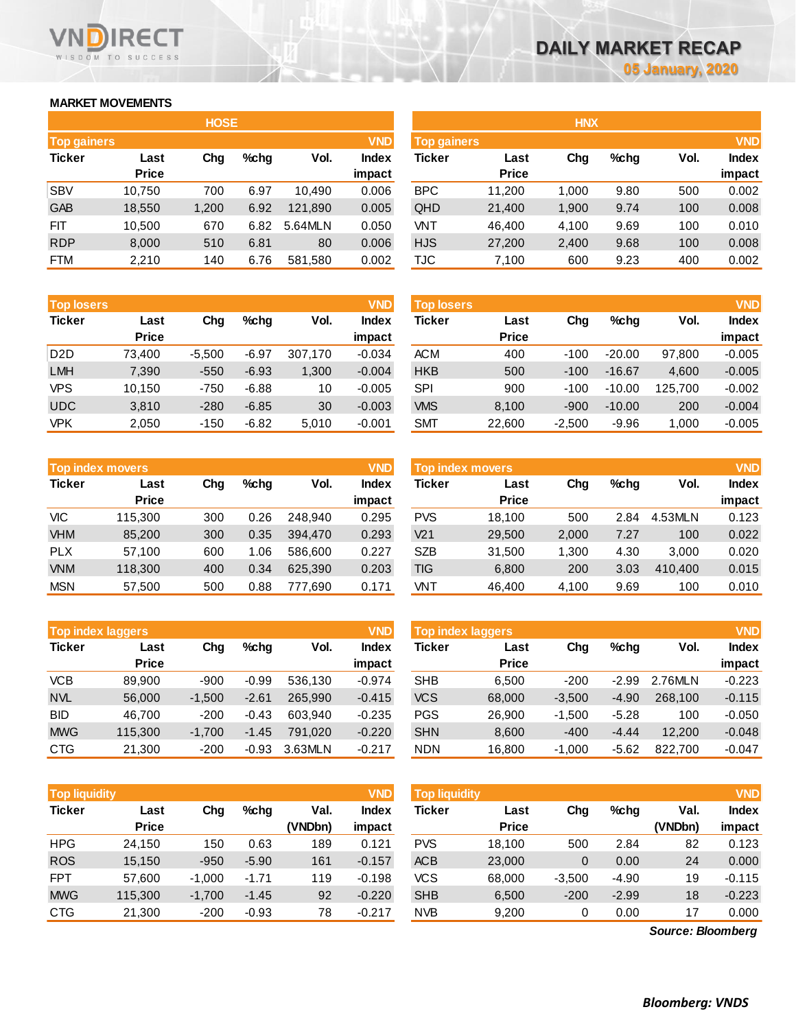## **MARKET MOVEMENTS**

WISDOM TO SUCCESS

RECT

|                    | <b>HOSE</b>  |       |      |         |              |  |  |  |  |  |  |  |  |  |
|--------------------|--------------|-------|------|---------|--------------|--|--|--|--|--|--|--|--|--|
| <b>Top gainers</b> |              |       |      |         | <b>VND</b>   |  |  |  |  |  |  |  |  |  |
| <b>Ticker</b>      | Last         | Cha   | %chq | Vol.    | <b>Index</b> |  |  |  |  |  |  |  |  |  |
|                    | <b>Price</b> |       |      |         | impact       |  |  |  |  |  |  |  |  |  |
| <b>SBV</b>         | 10,750       | 700   | 6.97 | 10,490  | 0.006        |  |  |  |  |  |  |  |  |  |
| <b>GAB</b>         | 18,550       | 1,200 | 6.92 | 121,890 | 0.005        |  |  |  |  |  |  |  |  |  |
| FIT                | 10,500       | 670   | 6.82 | 5.64MLN | 0.050        |  |  |  |  |  |  |  |  |  |
| <b>RDP</b>         | 8,000        | 510   | 6.81 | 80      | 0.006        |  |  |  |  |  |  |  |  |  |
| FTM                | 2,210        | 140   | 6.76 | 581,580 | 0.002        |  |  |  |  |  |  |  |  |  |

| <b>Top losers</b> |              |          |         |         | <b>VND</b>   |
|-------------------|--------------|----------|---------|---------|--------------|
| <b>Ticker</b>     | Last         | Cha      | $%$ chq | Vol.    | <b>Index</b> |
|                   | <b>Price</b> |          |         |         | impact       |
| D <sub>2</sub> D  | 73,400       | $-5,500$ | $-6.97$ | 307,170 | $-0.034$     |
| <b>LMH</b>        | 7,390        | $-550$   | $-6.93$ | 1,300   | $-0.004$     |
| <b>VPS</b>        | 10,150       | $-750$   | $-6.88$ | 10      | $-0.005$     |
| <b>UDC</b>        | 3,810        | $-280$   | $-6.85$ | 30      | $-0.003$     |
| <b>VPK</b>        | 2,050        | $-150$   | $-6.82$ | 5,010   | $-0.001$     |

|               | <b>Top index movers</b> |     |      |         | <b>VND</b>   |
|---------------|-------------------------|-----|------|---------|--------------|
| <b>Ticker</b> | Last                    | Cha | %chq | Vol.    | <b>Index</b> |
|               | <b>Price</b>            |     |      |         | impact       |
| VIC           | 115,300                 | 300 | 0.26 | 248.940 | 0.295        |
| <b>VHM</b>    | 85,200                  | 300 | 0.35 | 394.470 | 0.293        |
| PLX.          | 57,100                  | 600 | 1.06 | 586,600 | 0.227        |
| <b>VNM</b>    | 118,300                 | 400 | 0.34 | 625,390 | 0.203        |
| <b>MSN</b>    | 57,500                  | 500 | 0.88 | 777,690 | 0.171        |

| <b>Top index laggers</b> |              |          |         |         | <b>VND</b>   |
|--------------------------|--------------|----------|---------|---------|--------------|
| <b>Ticker</b>            | Last         | Cha      | $%$ chq | Vol.    | <b>Index</b> |
|                          | <b>Price</b> |          |         |         | impact       |
| <b>VCB</b>               | 89.900       | $-900$   | $-0.99$ | 536,130 | $-0.974$     |
| <b>NVL</b>               | 56,000       | $-1,500$ | $-2.61$ | 265,990 | $-0.415$     |
| BID                      | 46,700       | $-200$   | $-0.43$ | 603.940 | $-0.235$     |
| <b>MWG</b>               | 115,300      | $-1,700$ | $-1.45$ | 791,020 | $-0.220$     |
| <b>CTG</b>               | 21,300       | $-200$   | $-0.93$ | 3.63MLN | $-0.217$     |

| Top liquidity |                      |          |         |                 | <b>VND</b>             | <b>Top liquidity</b> |                      |          |         |                   |                 |
|---------------|----------------------|----------|---------|-----------------|------------------------|----------------------|----------------------|----------|---------|-------------------|-----------------|
| <b>Ticker</b> | Last<br><b>Price</b> | Chg      | $%$ chg | Val.<br>(VNDbn) | <b>Index</b><br>impact | Ticker               | Last<br><b>Price</b> | Chg      | $%$ chg | Val.<br>(VNDbn)   | Index<br>impact |
| <b>HPG</b>    | 24,150               | 150      | 0.63    | 189             | 0.121                  | <b>PVS</b>           | 18,100               | 500      | 2.84    | 82                | 0.123           |
| <b>ROS</b>    | 15,150               | $-950$   | $-5.90$ | 161             | $-0.157$               | <b>ACB</b>           | 23,000               | 0        | 0.00    | 24                | 0.000           |
| <b>FPT</b>    | 57,600               | $-1,000$ | $-1.71$ | 119             | $-0.198$               | vcs                  | 68,000               | $-3,500$ | $-4.90$ | 19                | $-0.115$        |
| <b>MWG</b>    | 115,300              | $-1,700$ | $-1.45$ | 92              | $-0.220$               | <b>SHB</b>           | 6,500                | $-200$   | $-2.99$ | 18                | $-0.223$        |
| <b>CTG</b>    | 21,300               | $-200$   | $-0.93$ | 78              | $-0.217$               | <b>NVB</b>           | 9,200                | 0        | 0.00    | 17                | 0.000           |
|               |                      |          |         |                 |                        |                      |                      |          |         | Source: Bloomberg |                 |

|                    |              | <b>HOSE</b> |         |         |              |            | <b>HNX</b>                       |       |      |      |              |  |
|--------------------|--------------|-------------|---------|---------|--------------|------------|----------------------------------|-------|------|------|--------------|--|
| <b>Top gainers</b> |              |             |         |         | <b>VND</b>   |            | <b>VND</b><br><b>Top gainers</b> |       |      |      |              |  |
| Ticker             | Last         | Chg         | $%$ chg | Vol.    | <b>Index</b> | Ticker     | Last                             | Chg   | %chg | Vol. | <b>Index</b> |  |
|                    | <b>Price</b> |             |         |         | impact       |            | <b>Price</b>                     |       |      |      | impact       |  |
| <b>SBV</b>         | 10.750       | 700         | 6.97    | 10.490  | 0.006        | <b>BPC</b> | 11,200                           | 1.000 | 9.80 | 500  | 0.002        |  |
| <b>GAB</b>         | 18,550       | 1,200       | 6.92    | 121,890 | 0.005        | QHD        | 21,400                           | 1,900 | 9.74 | 100  | 0.008        |  |
| <b>FIT</b>         | 10.500       | 670         | 6.82    | 5.64MLN | 0.050        | VNT        | 46.400                           | 4,100 | 9.69 | 100  | 0.010        |  |
| <b>RDP</b>         | 8,000        | 510         | 6.81    | 80      | 0.006        | <b>HJS</b> | 27,200                           | 2,400 | 9.68 | 100  | 0.008        |  |
| FTM                | 2,210        | 140         | 6.76    | 581,580 | 0.002        | TJC        | 7,100                            | 600   | 9.23 | 400  | 0.002        |  |

| <b>VND</b><br><b>Top losers</b> |              |          |         |         |              | <b>Top losers</b> |              |          |          |         | <b>VND</b>   |
|---------------------------------|--------------|----------|---------|---------|--------------|-------------------|--------------|----------|----------|---------|--------------|
| Ticker                          | Last         | Chg      | $%$ chg | Vol.    | <b>Index</b> | Ticker            | Last         | Chg      | $%$ chg  | Vol.    | <b>Index</b> |
|                                 | <b>Price</b> |          |         |         | impact       |                   | <b>Price</b> |          |          |         | impact       |
| D2D                             | 73.400       | $-5.500$ | $-6.97$ | 307.170 | $-0.034$     | <b>ACM</b>        | 400          | $-100$   | $-20.00$ | 97.800  | $-0.005$     |
| <b>LMH</b>                      | 7,390        | $-550$   | $-6.93$ | 1,300   | $-0.004$     | <b>HKB</b>        | 500          | $-100$   | $-16.67$ | 4,600   | $-0.005$     |
| VPS                             | 10.150       | $-750$   | $-6.88$ | 10      | $-0.005$     | <b>SPI</b>        | 900          | $-100$   | $-10.00$ | 125.700 | $-0.002$     |
| <b>UDC</b>                      | 3,810        | $-280$   | $-6.85$ | 30      | $-0.003$     | <b>VMS</b>        | 8,100        | $-900$   | $-10.00$ | 200     | $-0.004$     |
| VPK                             | 2,050        | $-150$   | $-6.82$ | 5,010   | $-0.001$     | <b>SMT</b>        | 22,600       | $-2,500$ | $-9.96$  | 1.000   | $-0.005$     |

|            | <b>Top index movers</b> |     |      |         | <b>VND</b>   | Top index movers |              | <b>VND</b> |      |         |              |
|------------|-------------------------|-----|------|---------|--------------|------------------|--------------|------------|------|---------|--------------|
| Ticker     | Last                    | Chg | %chq | Vol.    | <b>Index</b> | Ticker           | Last         | Chg        | %chq | Vol.    | <b>Index</b> |
|            | <b>Price</b>            |     |      |         | impact       |                  | <b>Price</b> |            |      |         | impact       |
| VIC        | 115.300                 | 300 | 0.26 | 248.940 | 0.295        | <b>PVS</b>       | 18.100       | 500        | 2.84 | 4.53MLN | 0.123        |
| <b>VHM</b> | 85,200                  | 300 | 0.35 | 394.470 | 0.293        | V <sub>21</sub>  | 29,500       | 2,000      | 7.27 | 100     | 0.022        |
| <b>PLX</b> | 57.100                  | 600 | 1.06 | 586,600 | 0.227        | <b>SZB</b>       | 31.500       | 1.300      | 4.30 | 3.000   | 0.020        |
| <b>VNM</b> | 118,300                 | 400 | 0.34 | 625.390 | 0.203        | TIG              | 6,800        | 200        | 3.03 | 410.400 | 0.015        |
| <b>MSN</b> | 57,500                  | 500 | 0.88 | 777,690 | 0.171        | VNT              | 46,400       | 4,100      | 9.69 | 100     | 0.010        |

| <b>Top index laggers</b> |                      |          |         |         | <b>VND</b>      | Top index laggers |                      |          |         |         |                        |
|--------------------------|----------------------|----------|---------|---------|-----------------|-------------------|----------------------|----------|---------|---------|------------------------|
| Ticker                   | Last<br><b>Price</b> | Chg      | $%$ chg | Vol.    | Index<br>impact | Ticker            | Last<br><b>Price</b> | Chg      | $%$ chg | Vol.    | <b>Index</b><br>impact |
| VCB                      | 89.900               | $-900$   | $-0.99$ | 536.130 | $-0.974$        | <b>SHB</b>        | 6.500                | $-200$   | $-2.99$ | 2.76MLN | $-0.223$               |
| <b>NVL</b>               | 56,000               | $-1.500$ | $-2.61$ | 265.990 | $-0.415$        | <b>VCS</b>        | 68,000               | $-3,500$ | $-4.90$ | 268.100 | $-0.115$               |
| <b>BID</b>               | 46.700               | $-200$   | $-0.43$ | 603.940 | $-0.235$        | PGS               | 26,900               | $-1.500$ | $-5.28$ | 100     | $-0.050$               |
| <b>MWG</b>               | 115,300              | $-1.700$ | $-1.45$ | 791.020 | $-0.220$        | <b>SHN</b>        | 8,600                | $-400$   | $-4.44$ | 12.200  | $-0.048$               |
| CTG                      | 21,300               | $-200$   | $-0.93$ | 3.63MLN | $-0.217$        | <b>NDN</b>        | 16,800               | $-1.000$ | $-5.62$ | 822,700 | $-0.047$               |

| <b>Top liquidity</b> |              |          |         |         | <b>VND</b>   |
|----------------------|--------------|----------|---------|---------|--------------|
| <b>Ticker</b>        | Last         | Cha      | %chq    | Val.    | <b>Index</b> |
|                      | <b>Price</b> |          |         | (VNDbn) | impact       |
| <b>PVS</b>           | 18,100       | 500      | 2.84    | 82      | 0.123        |
| <b>ACB</b>           | 23,000       | 0        | 0.00    | 24      | 0.000        |
| <b>VCS</b>           | 68,000       | $-3,500$ | $-4.90$ | 19      | $-0.115$     |
| <b>SHB</b>           | 6,500        | $-200$   | $-2.99$ | 18      | $-0.223$     |
| <b>NVB</b>           | 9,200        | 0        | 0.00    | 17      | 0.000        |

*Source: Bloomberg*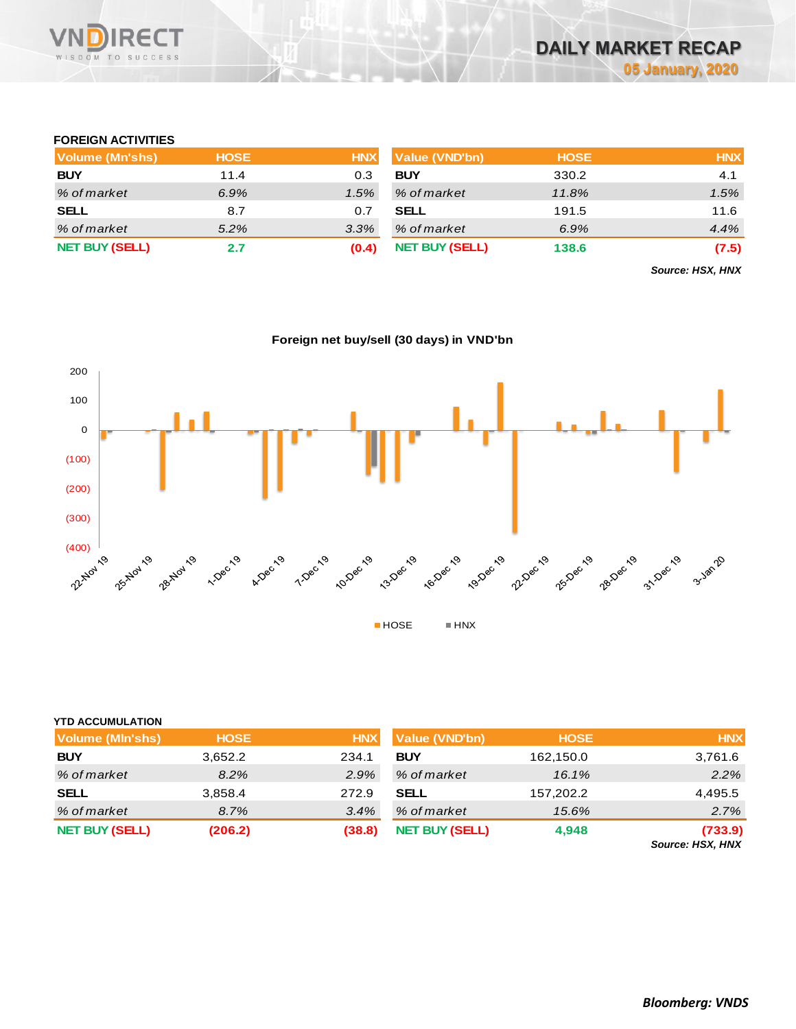

## **FOREIGN ACTIVITIES**

| <b>Volume (Mn'shs)</b> | <b>HOSE</b> | <b>HNX</b> | <b>Value (VND'bn)</b> | <b>HOSE</b> | <b>HNX</b> |
|------------------------|-------------|------------|-----------------------|-------------|------------|
| <b>BUY</b>             | 11.4        | 0.3        | <b>BUY</b>            | 330.2       | 4.1        |
| % of market            | 6.9%        | 1.5%       | % of market           | 11.8%       | 1.5%       |
| <b>SELL</b>            | 8.7         | 0.7        | <b>SELL</b>           | 191.5       | 11.6       |
| % of market            | 5.2%        | 3.3%       | % of market           | 6.9%        | 4.4%       |
| <b>NET BUY (SELL)</b>  | 2.7         | (0.4)      | <b>NET BUY (SELL)</b> | 138.6       | (7.5)      |

*Source: HSX, HNX*



**Foreign net buy/sell (30 days) in VND'bn**

| <b>YTD ACCUMULATION</b> |             |            |                       |             |                                    |
|-------------------------|-------------|------------|-----------------------|-------------|------------------------------------|
| <b>Volume (MIn'shs)</b> | <b>HOSE</b> | <b>HNX</b> | Value (VND'bn)        | <b>HOSE</b> | <b>HNX</b>                         |
| <b>BUY</b>              | 3,652.2     | 234.1      | <b>BUY</b>            | 162,150.0   | 3,761.6                            |
| % of market             | 8.2%        | 2.9%       | % of market           | 16.1%       | 2.2%                               |
| <b>SELL</b>             | 3,858.4     | 272.9      | <b>SELL</b>           | 157,202.2   | 4,495.5                            |
| % of market             | 8.7%        | 3.4%       | % of market           | 15.6%       | 2.7%                               |
| <b>NET BUY (SELL)</b>   | (206.2)     | (38.8)     | <b>NET BUY (SELL)</b> | 4,948       | (733.9)<br><b>Source: HSX, HNX</b> |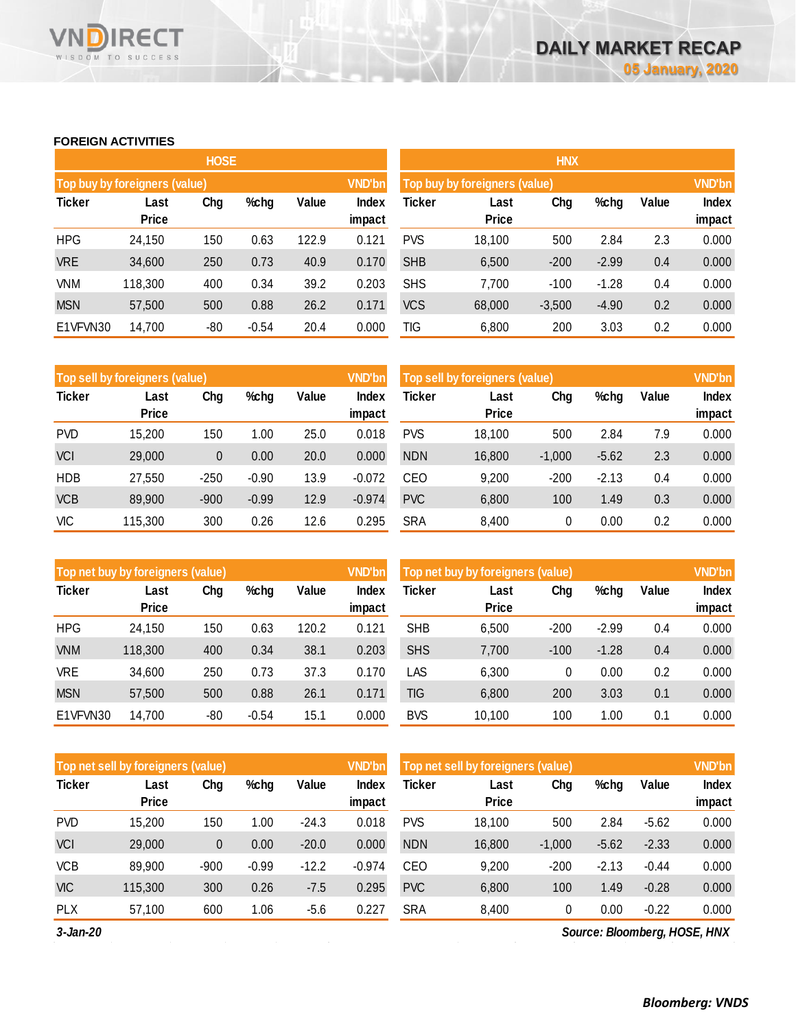#### **FOREIGN ACTIVITIES**

WISDOM TO SUCCESS

**VN** 

**RECT** 

|               |                               | <b>HOSE</b> |         |       |                 | <b>HNX</b>                    |                      |          |         |       |                        |
|---------------|-------------------------------|-------------|---------|-------|-----------------|-------------------------------|----------------------|----------|---------|-------|------------------------|
|               | Top buy by foreigners (value) |             |         |       | <b>VND'bn</b>   | Top buy by foreigners (value) |                      |          |         |       |                        |
| <b>Ticker</b> | Last<br><b>Price</b>          | Chg         | %chg    | Value | Index<br>impact | Ticker                        | Last<br><b>Price</b> | Chg      | %chg    | Value | <b>Index</b><br>impact |
| <b>HPG</b>    | 24,150                        | 150         | 0.63    | 122.9 | 0.121           | <b>PVS</b>                    | 18,100               | 500      | 2.84    | 2.3   | 0.000                  |
| <b>VRE</b>    | 34,600                        | 250         | 0.73    | 40.9  | 0.170           | <b>SHB</b>                    | 6,500                | $-200$   | $-2.99$ | 0.4   | 0.000                  |
| <b>VNM</b>    | 118,300                       | 400         | 0.34    | 39.2  | 0.203           | <b>SHS</b>                    | 7,700                | $-100$   | $-1.28$ | 0.4   | 0.000                  |
| <b>MSN</b>    | 57,500                        | 500         | 0.88    | 26.2  | 0.171           | <b>VCS</b>                    | 68,000               | $-3,500$ | $-4.90$ | 0.2   | 0.000                  |
| E1VFVN30      | 14,700                        | -80         | $-0.54$ | 20.4  | 0.000           | TIG                           | 6,800                | 200      | 3.03    | 0.2   | 0.000                  |

|               | Top sell by foreigners (value) |        |         |       | <b>VND'bn</b> | Top sell by foreigners (value), |              |          |         |       | <b>VND'bn</b> |
|---------------|--------------------------------|--------|---------|-------|---------------|---------------------------------|--------------|----------|---------|-------|---------------|
| <b>Ticker</b> | Last                           | Chg    | %chg    | Value | Index         | Ticker                          | Last         | Chg      | %chg    | Value | Index         |
|               | <b>Price</b>                   |        |         |       | impact        |                                 | <b>Price</b> |          |         |       | impact        |
| <b>PVD</b>    | 15,200                         | 150    | 1.00    | 25.0  | 0.018         | <b>PVS</b>                      | 18.100       | 500      | 2.84    | 7.9   | 0.000         |
| <b>VCI</b>    | 29,000                         | 0      | 0.00    | 20.0  | 0.000         | <b>NDN</b>                      | 16,800       | $-1.000$ | $-5.62$ | 2.3   | 0.000         |
| <b>HDB</b>    | 27,550                         | $-250$ | $-0.90$ | 13.9  | $-0.072$      | CEO                             | 9.200        | $-200$   | $-2.13$ | 0.4   | 0.000         |
| <b>VCB</b>    | 89,900                         | $-900$ | $-0.99$ | 12.9  | $-0.974$      | <b>PVC</b>                      | 6,800        | 100      | 1.49    | 0.3   | 0.000         |
| VIC           | 115,300                        | 300    | 0.26    | 12.6  | 0.295         | <b>SRA</b>                      | 8,400        | 0        | 0.00    | 0.2   | 0.000         |

|               | Top net buy by foreigners (value) |       |         |       | <b>VND'bn</b> | Top net buy by foreigners (value) |              |        |         |       | <b>VND'bn</b> |
|---------------|-----------------------------------|-------|---------|-------|---------------|-----------------------------------|--------------|--------|---------|-------|---------------|
| <b>Ticker</b> | Last                              | Chg   | %chg    | Value | Index         | Ticker                            | Last         | Chg    | %chg    | Value | <b>Index</b>  |
|               | <b>Price</b>                      |       |         |       | impact        |                                   | <b>Price</b> |        |         |       | impact        |
| <b>HPG</b>    | 24.150                            | 150   | 0.63    | 120.2 | 0.121         | <b>SHB</b>                        | 6,500        | $-200$ | $-2.99$ | 0.4   | 0.000         |
| <b>VNM</b>    | 118,300                           | 400   | 0.34    | 38.1  | 0.203         | <b>SHS</b>                        | 7,700        | $-100$ | $-1.28$ | 0.4   | 0.000         |
| VRE           | 34,600                            | 250   | 0.73    | 37.3  | 0.170         | LAS                               | 6,300        | 0      | 0.00    | 0.2   | 0.000         |
| <b>MSN</b>    | 57,500                            | 500   | 0.88    | 26.1  | 0.171         | TIG                               | 6,800        | 200    | 3.03    | 0.1   | 0.000         |
| E1VFVN30      | 14,700                            | $-80$ | $-0.54$ | 15.1  | 0.000         | <b>BVS</b>                        | 10,100       | 100    | 1.00    | 0.1   | 0.000         |

|               | Top net sell by foreigners (value) |        |         |         | <b>VND'bn</b> | Top net sell by foreigners (value) |                      |          |         |         | <b>VND'bn</b> |
|---------------|------------------------------------|--------|---------|---------|---------------|------------------------------------|----------------------|----------|---------|---------|---------------|
| <b>Ticker</b> | Last<br><b>Price</b>               | Chg    | $%$ chg | Value   | Index         | Ticker                             | Last<br><b>Price</b> | Chg      | %chg    | Value   | <b>Index</b>  |
|               |                                    |        |         |         | impact        |                                    |                      |          |         |         | impact        |
| <b>PVD</b>    | 15,200                             | 150    | 1.00    | $-24.3$ | 0.018         | <b>PVS</b>                         | 18,100               | 500      | 2.84    | $-5.62$ | 0.000         |
| <b>VCI</b>    | 29,000                             | 0      | 0.00    | $-20.0$ | 0.000         | <b>NDN</b>                         | 16,800               | $-1,000$ | $-5.62$ | $-2.33$ | 0.000         |
| <b>VCB</b>    | 89,900                             | $-900$ | $-0.99$ | $-12.2$ | $-0.974$      | CEO                                | 9,200                | $-200$   | $-2.13$ | $-0.44$ | 0.000         |
| <b>VIC</b>    | 115,300                            | 300    | 0.26    | $-7.5$  | 0.295         | <b>PVC</b>                         | 6,800                | 100      | 1.49    | $-0.28$ | 0.000         |
| <b>PLX</b>    | 57.100                             | 600    | 1.06    | $-5.6$  | 0.227         | <b>SRA</b>                         | 8,400                | 0        | 0.00    | $-0.22$ | 0.000         |

*3-Jan-20*

*Source: Bloomberg, HOSE, HNX*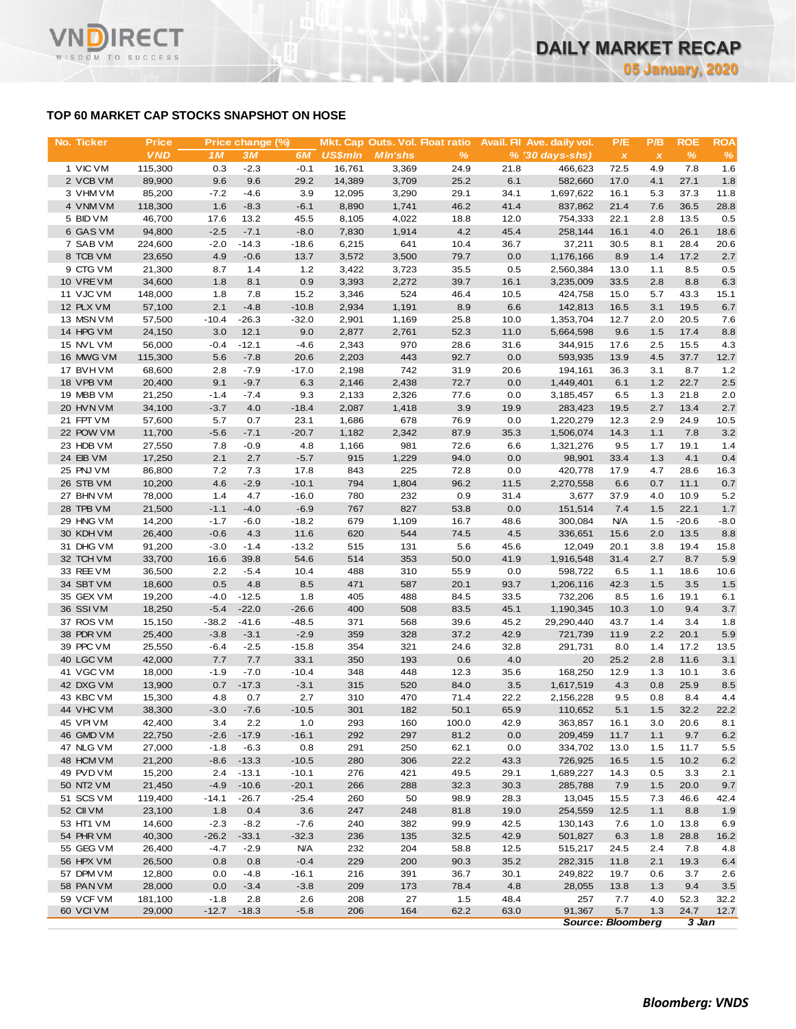## **TOP 60 MARKET CAP STOCKS SNAPSHOT ON HOSE**

**RECT** 

WISDOM TO SUCCESS

VND

| No. Ticker             | <b>Price</b>     |                | Price change (%) |            |                | Mkt. Cap Outs. Vol. Float ratio |              |              | Avail. Fil Ave. daily vol. | P/E          | P/B          | <b>ROE</b>   | <b>ROA</b>   |
|------------------------|------------------|----------------|------------------|------------|----------------|---------------------------------|--------------|--------------|----------------------------|--------------|--------------|--------------|--------------|
|                        | <b>VND</b>       | 1 <sub>M</sub> | 3M               | 6M         | <b>US\$mln</b> | <b>MIn'shs</b>                  | $\%$         |              | $% (30 days-shs)$          | $\pmb{\chi}$ | $\pmb{\chi}$ | $\%$         | $\%$         |
| 1 VIC VM               | 115,300          | 0.3            | $-2.3$           | $-0.1$     | 16,761         | 3,369                           | 24.9         | 21.8         | 466.623                    | 72.5         | 4.9          | 7.8          | 1.6          |
| 2 VCB VM               | 89,900           | 9.6            | 9.6              | 29.2       | 14,389         | 3,709                           | 25.2         | 6.1          | 582,660                    | 17.0         | 4.1          | 27.1         | 1.8          |
| 3 VHM VM               | 85,200           | $-7.2$         | $-4.6$           | 3.9        | 12,095         | 3,290                           | 29.1         | 34.1         | 1,697,622                  | 16.1         | 5.3          | 37.3         | 11.8         |
| 4 VNM VM               | 118,300          | 1.6            | $-8.3$           | $-6.1$     | 8,890          | 1,741                           | 46.2         | 41.4         | 837,862                    | 21.4         | 7.6          | 36.5         | 28.8         |
| 5 BID VM               | 46,700           | 17.6           | 13.2             | 45.5       | 8,105          | 4,022                           | 18.8         | 12.0         | 754,333                    | 22.1         | 2.8          | 13.5         | 0.5          |
| 6 GAS VM               | 94,800           | $-2.5$         | $-7.1$           | $-8.0$     | 7,830          | 1,914                           | 4.2          | 45.4         | 258,144                    | 16.1         | 4.0          | 26.1         | 18.6         |
| 7 SAB VM               | 224,600          | $-2.0$         | $-14.3$          | $-18.6$    | 6,215          | 641                             | 10.4         | 36.7         | 37,211                     | 30.5         | 8.1          | 28.4         | 20.6         |
| 8 TCB VM               | 23,650           | 4.9            | $-0.6$           | 13.7       | 3,572          | 3,500                           | 79.7         | 0.0          | 1,176,166                  | 8.9          | 1.4          | 17.2         | 2.7          |
| 9 CTG VM<br>10 VRE VM  | 21,300<br>34,600 | 8.7<br>1.8     | 1.4<br>8.1       | 1.2<br>0.9 | 3,422<br>3,393 | 3,723<br>2,272                  | 35.5<br>39.7 | 0.5<br>16.1  | 2,560,384<br>3,235,009     | 13.0<br>33.5 | 1.1<br>2.8   | 8.5<br>8.8   | 0.5          |
| 11 VJC VM              | 148,000          | 1.8            | 7.8              | 15.2       | 3,346          | 524                             | 46.4         | 10.5         | 424,758                    | 15.0         | 5.7          | 43.3         | 6.3<br>15.1  |
| 12 PLX VM              | 57,100           | 2.1            | $-4.8$           | $-10.8$    | 2,934          | 1,191                           | 8.9          | 6.6          | 142,813                    | 16.5         | 3.1          | 19.5         | 6.7          |
| 13 MSN VM              | 57,500           | $-10.4$        | $-26.3$          | $-32.0$    | 2,901          | 1,169                           | 25.8         | 10.0         | 1,353,704                  | 12.7         | 2.0          | 20.5         | 7.6          |
| 14 HPG VM              | 24,150           | 3.0            | 12.1             | 9.0        | 2,877          | 2,761                           | 52.3         | 11.0         | 5,664,598                  | 9.6          | 1.5          | 17.4         | 8.8          |
| 15 NVL VM              | 56,000           | $-0.4$         | $-12.1$          | $-4.6$     | 2,343          | 970                             | 28.6         | 31.6         | 344,915                    | 17.6         | 2.5          | 15.5         | 4.3          |
| 16 MWG VM              | 115,300          | 5.6            | $-7.8$           | 20.6       | 2,203          | 443                             | 92.7         | 0.0          | 593,935                    | 13.9         | 4.5          | 37.7         | 12.7         |
| 17 BVHVM               | 68,600           | 2.8            | $-7.9$           | $-17.0$    | 2,198          | 742                             | 31.9         | 20.6         | 194,161                    | 36.3         | 3.1          | 8.7          | 1.2          |
| 18 VPB VM              | 20,400           | 9.1            | $-9.7$           | 6.3        | 2,146          | 2,438                           | 72.7         | 0.0          | 1,449,401                  | 6.1          | 1.2          | 22.7         | 2.5          |
| 19 MBB VM              | 21,250           | $-1.4$         | $-7.4$           | 9.3        | 2,133          | 2,326                           | 77.6         | 0.0          | 3,185,457                  | 6.5          | 1.3          | 21.8         | 2.0          |
| 20 HVN VM              | 34,100           | $-3.7$         | 4.0              | $-18.4$    | 2,087          | 1,418                           | 3.9          | 19.9         | 283,423                    | 19.5         | 2.7          | 13.4         | 2.7          |
| 21 FPT VM              | 57,600           | 5.7            | 0.7              | 23.1       | 1,686          | 678                             | 76.9         | 0.0          | 1,220,279                  | 12.3         | 2.9          | 24.9         | 10.5         |
| 22 POW VM              | 11,700           | $-5.6$         | $-7.1$           | $-20.7$    | 1,182          | 2,342                           | 87.9         | 35.3         | 1,506,074                  | 14.3         | 1.1          | 7.8          | 3.2          |
| 23 HDB VM              | 27,550           | 7.8            | $-0.9$           | 4.8        | 1,166          | 981                             | 72.6         | 6.6          | 1,321,276                  | 9.5          | 1.7          | 19.1         | 1.4          |
| 24 EIB VM              | 17,250           | 2.1            | 2.7              | $-5.7$     | 915            | 1,229                           | 94.0         | 0.0          | 98,901                     | 33.4         | 1.3          | 4.1          | 0.4          |
| 25 PNJ VM              | 86,800           | 7.2            | 7.3              | 17.8       | 843            | 225                             | 72.8         | 0.0          | 420,778                    | 17.9         | 4.7          | 28.6         | 16.3         |
| 26 STB VM              | 10,200           | 4.6            | $-2.9$           | $-10.1$    | 794            | 1,804                           | 96.2         | 11.5         | 2,270,558                  | 6.6          | 0.7          | 11.1         | 0.7          |
| 27 BHN VM              | 78,000           | 1.4            | 4.7              | $-16.0$    | 780            | 232                             | 0.9          | 31.4         | 3,677                      | 37.9         | 4.0          | 10.9         | 5.2          |
| 28 TPB VM              | 21,500           | $-1.1$         | $-4.0$           | $-6.9$     | 767            | 827                             | 53.8         | 0.0          | 151,514                    | 7.4          | 1.5          | 22.1         | 1.7          |
| 29 HNG VM              | 14,200           | $-1.7$         | $-6.0$           | $-18.2$    | 679            | 1,109                           | 16.7         | 48.6         | 300,084                    | <b>N/A</b>   | 1.5          | $-20.6$      | $-8.0$       |
| 30 KDH VM              | 26,400           | $-0.6$         | 4.3              | 11.6       | 620            | 544                             | 74.5         | 4.5          | 336,651                    | 15.6         | 2.0          | 13.5         | 8.8          |
| 31 DHG VM              | 91,200           | $-3.0$         | $-1.4$           | $-13.2$    | 515            | 131                             | 5.6          | 45.6         | 12,049                     | 20.1         | 3.8          | 19.4         | 15.8         |
| 32 TCH VM              | 33,700           | 16.6           | 39.8             | 54.6       | 514            | 353                             | 50.0         | 41.9         | 1,916,548                  | 31.4         | 2.7          | 8.7          | 5.9          |
| 33 REE VM              | 36,500           | 2.2            | $-5.4$           | 10.4       | 488            | 310                             | 55.9         | 0.0          | 598,722                    | 6.5          | 1.1          | 18.6         | 10.6         |
| 34 SBT VM<br>35 GEX VM | 18,600<br>19,200 | 0.5<br>$-4.0$  | 4.8<br>$-12.5$   | 8.5<br>1.8 | 471<br>405     | 587<br>488                      | 20.1<br>84.5 | 93.7<br>33.5 | 1,206,116<br>732,206       | 42.3<br>8.5  | 1.5<br>1.6   | 3.5<br>19.1  | 1.5<br>6.1   |
| 36 SSIVM               | 18,250           | $-5.4$         | $-22.0$          | $-26.6$    | 400            | 508                             | 83.5         | 45.1         | 1,190,345                  | 10.3         | 1.0          | 9.4          | 3.7          |
| 37 ROS VM              | 15,150           | $-38.2$        | $-41.6$          | $-48.5$    | 371            | 568                             | 39.6         | 45.2         | 29,290,440                 | 43.7         | 1.4          | 3.4          | 1.8          |
| 38 PDR VM              | 25,400           | $-3.8$         | $-3.1$           | $-2.9$     | 359            | 328                             | 37.2         | 42.9         | 721,739                    | 11.9         | 2.2          | 20.1         | 5.9          |
| 39 PPC VM              | 25,550           | $-6.4$         | $-2.5$           | $-15.8$    | 354            | 321                             | 24.6         | 32.8         | 291,731                    | 8.0          | 1.4          | 17.2         | 13.5         |
| 40 LGC VM              | 42,000           | 7.7            | 7.7              | 33.1       | 350            | 193                             | 0.6          | 4.0          | 20                         | 25.2         | 2.8          | 11.6         | 3.1          |
| 41 VGC VM              | 18,000           | $-1.9$         | -7.0             | -10.4      | 348            | 448                             | 12.3         | 35.6         | 168,250                    | 12.9         | 1.3          | 10.1         | 3.6          |
| 42 DXG VM              | 13,900           | 0.7            | $-17.3$          | $-3.1$     | 315            | 520                             | 84.0         | 3.5          | 1,617,519                  | 4.3          | 0.8          | 25.9         | 8.5          |
| 43 KBC VM              | 15,300           | 4.8            | 0.7              | 2.7        | 310            | 470                             | 71.4         | 22.2         | 2,156,228                  | 9.5          | 0.8          | 8.4          | 4.4          |
| 44 VHC VM              | 38,300           | $-3.0$         | $-7.6$           | $-10.5$    | 301            | 182                             | 50.1         | 65.9         | 110,652                    | 5.1          | 1.5          | 32.2         | 22.2         |
| 45 VPIVM               | 42,400           | 3.4            | 2.2              | 1.0        | 293            | 160                             | 100.0        | 42.9         | 363,857                    | 16.1         | 3.0          | 20.6         | 8.1          |
| 46 GMD VM              | 22,750           | $-2.6$         | $-17.9$          | $-16.1$    | 292            | 297                             | 81.2         | 0.0          | 209,459                    | 11.7         | 1.1          | 9.7          | 6.2          |
| 47 NLG VM              | 27,000           | $-1.8$         | $-6.3$           | 0.8        | 291            | 250                             | 62.1         | 0.0          | 334,702                    | 13.0         | 1.5          | 11.7         | 5.5          |
| 48 HCM VM              | 21,200           | $-8.6$         | $-13.3$          | $-10.5$    | 280            | 306                             | 22.2         | 43.3         | 726,925                    | 16.5         | 1.5          | 10.2         | 6.2          |
| 49 PVD VM              | 15,200           | 2.4            | $-13.1$          | $-10.1$    | 276            | 421                             | 49.5         | 29.1         | 1,689,227                  | 14.3         | 0.5          | 3.3          | 2.1          |
| 50 NT2 VM              | 21,450           | $-4.9$         | $-10.6$          | $-20.1$    | 266            | 288                             | 32.3         | 30.3         | 285,788                    | 7.9          | 1.5          | 20.0         | 9.7          |
| 51 SCS VM              | 119,400          | $-14.1$        | $-26.7$          | $-25.4$    | 260            | 50                              | 98.9         | 28.3         | 13,045                     | 15.5         | 7.3          | 46.6         | 42.4         |
| 52 CII VM              | 23,100           | 1.8            | 0.4              | 3.6        | 247            | 248                             | 81.8         | 19.0         | 254,559                    | 12.5         | 1.1          | 8.8          | 1.9          |
| 53 HT1 VM              | 14,600           | $-2.3$         | $-8.2$           | $-7.6$     | 240            | 382                             | 99.9         | 42.5         | 130,143                    | 7.6          | 1.0          | 13.8         | 6.9          |
| 54 PHR VM              | 40,300           | $-26.2$        | $-33.1$          | $-32.3$    | 236            | 135                             | 32.5         | 42.9         | 501,827                    | 6.3          | 1.8          | 28.8         | 16.2         |
| 55 GEG VM              | 26,400           | $-4.7$         | $-2.9$           | <b>N/A</b> | 232            | 204                             | 58.8         | 12.5         | 515,217                    | 24.5         | 2.4          | 7.8          | 4.8          |
| 56 HPX VM              | 26,500           | 0.8            | 0.8              | $-0.4$     | 229            | 200                             | 90.3         | 35.2         | 282,315                    | 11.8         | 2.1          | 19.3         | 6.4          |
| 57 DPM VM              | 12,800           | 0.0            | $-4.8$           | $-16.1$    | 216            | 391                             | 36.7         | 30.1         | 249,822                    | 19.7         | 0.6          | 3.7          | 2.6          |
| 58 PAN VM              | 28,000           | 0.0            | $-3.4$           | $-3.8$     | 209            | 173                             | 78.4         | 4.8          | 28,055                     | 13.8         | 1.3          | 9.4          | 3.5          |
| 59 VCF VM              | 181,100          | $-1.8$         | 2.8              | 2.6        | 208            | 27                              | 1.5<br>62.2  | 48.4         | 257                        | 7.7          | 4.0<br>1.3   | 52.3<br>24.7 | 32.2<br>12.7 |
| 60 VCI VM              | 29,000           | $-12.7$        | $-18.3$          | $-5.8$     | 206            | 164                             |              | 63.0         | 91,367                     | 5.7          |              |              |              |